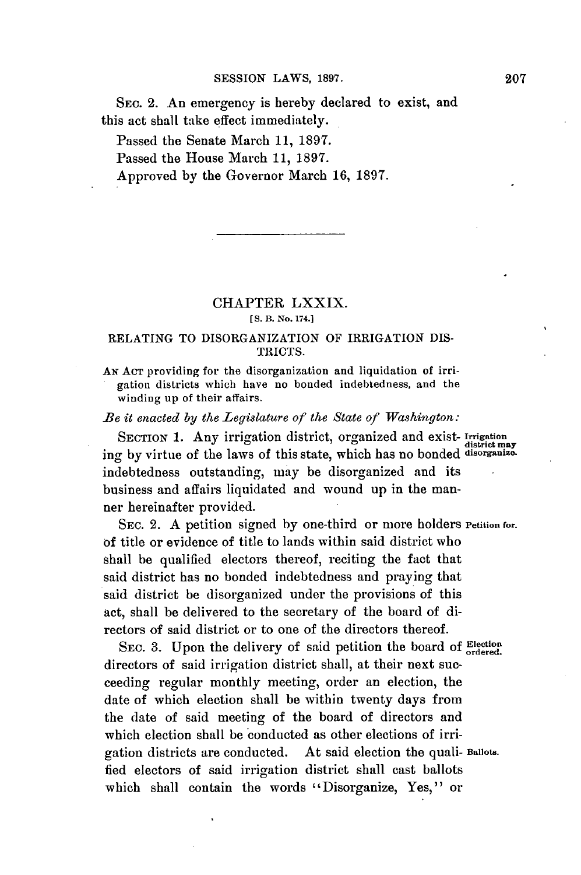SEC. 2. An emergency is hereby declared to exist, and this act shall take effect immediately.

Passed the Senate March **11, 1897.**

Passed the House March **11, 1897.**

Approved **by** the Governor March **16, 1897.**

## CHAPTER LXXIX. **[S. B. No. 174.]**

## **RELATING** TO DISORGANIZATION OF IRRIGATION DIS-TRICTS.

**AN ACT** providing for the disorganization and liquidation of irrigation districts which have no bonded indebtedness, and the winding up of their affairs.

*Be it enacted by the Legislature of the State of Washington:*

SECTION **1.** Any irrigation district, organized and exist- **irrigation district may** ing **by** virtue of the laws of this state, which has no bonded **disorganize.** indebtedness outstanding, may be disorganized and its business and affairs liquidated and wound up in the manner hereinafter provided.

SEc. 2. **A** petition signed **by** one-third or more holders **Petition for. of** title or evidence of title to lands within said district who shall be qualified electors thereof, reciting the fact that said district has no bonded indebtedness and praying that said district be disorganized under the provisions of this act, shall be delivered to the secretary of the board of directors of said district or to one of the directors thereof.

SEc. **3.** Upon the delivery of said petition the board **of Election ordered.** directors of said irrigation district shall, at their next succeeding regular monthly meeting, order an election, the date of which election shall be within twenty days from the date of said meeting of the board of directors and which election shall be conducted as other elections of irrigation districts are conducted. At said election the quali- **Ballots.** fied electors of said irrigation district shall cast ballots which shall contain the words "Disorganize, Yes," or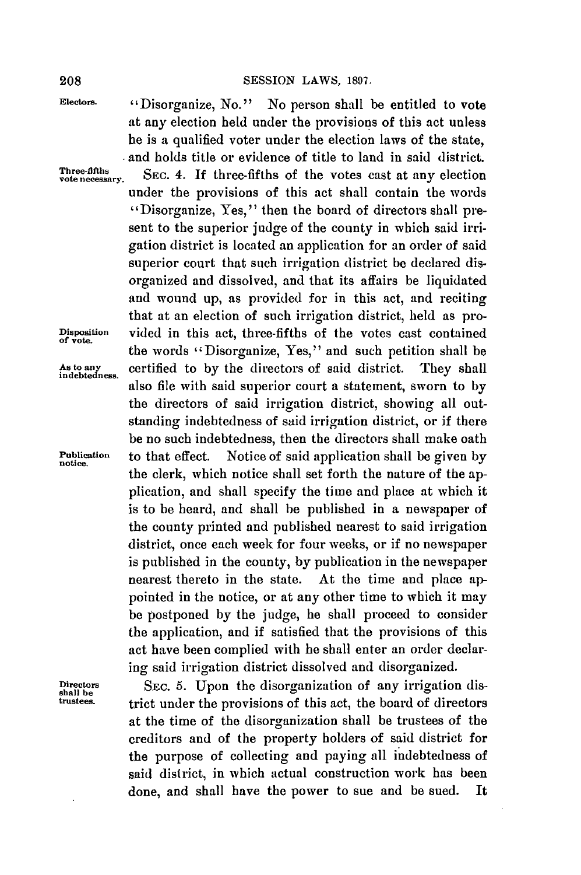**Electors.** "Disorganize, No." No person shall be entitled to vote at any election held under the provisions of this act unless he is a qualified voter under the election laws of the state, **e** and holds title or evidence of title to land in said district. **vote necessary.** SEc. 4. **If** three-fifths of the votes cast at any election under the provisions of this act shall contain the words "Disorganize, Yes," then the board of directors shall present to the superior judge of the county in which said irrigation district is located an application for an order of said superior court that such irrigation district be declared disorganized and dissolved, and that its affairs be liquidated and wound up, as provided for in this act, and reciting that at an election of such irrigation district, held as pro-**Disposition** vided in this act, three-fifths of the votes cast contained **of vote.** the words "Disorganize, Yes," and such petition shall be **As** *to* **any** certified to **by** the directors of said district. They shall **indebtedness.** also file with said superior court a statement, sworn to **by** the directors of said irrigation district, showing all outstanding indebtedness of said irrigation district, or if there be no such indebtedness, then the directors shall make oath **Publication** to that effect. Notice of said application shall be given **by notice.** the clerk, which notice shall set forth the nature of the application, and shall specify the time and place at which it is to be heard, and shall be published in a newspaper of the county printed and published nearest to said irrigation district, once each week for four weeks, or if no newspaper is published in the county, **by** publication in the newspaper nearest thereto in the state. At the time and place appointed in the notice, or at any other time to which it may **be** postponed **by** the judge, he shall proceed to consider the application, and if satisfied that the provisions of this act have been complied with he shall enter an order declaring said irrigation district dissolved and disorganized.

Directors SEC. 5. Upon the disorganization of any irrigation dis-<br> **SEC.** 5. Upon the provisions of this act, the beaud of directors trict under the provisions of this act, the board of directors at the time of the disorganization shall be trustees of the creditors and of the property holders of said district for the purpose of collecting and paying all indebtedness of said district, in which actual construction work has been done, and shall have the power to sue and be sued. It